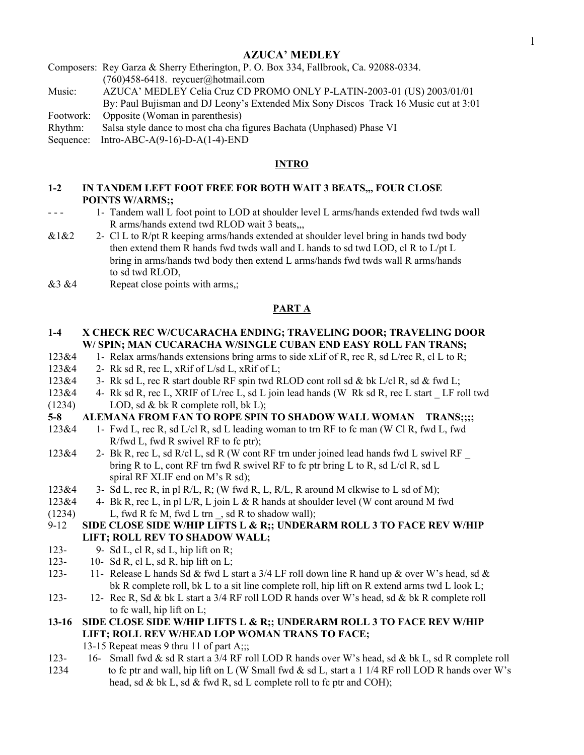## AZUCA' MEDLEY

Composers: Rey Garza & Sherry Etherington, P. O. Box 334, Fallbrook, Ca. 92088-0334. (760)458-6418. reycuer@hotmail.com

Music: AZUCA' MEDLEY Celia Cruz CD PROMO ONLY P-LATIN-2003-01 (US) 2003/01/01

By: Paul Bujisman and DJ Leony's Extended Mix Sony Discos Track 16 Music cut at 3:01 Footwork: Opposite (Woman in parenthesis)

Rhythm: Salsa style dance to most cha cha figures Bachata (Unphased) Phase VI

Sequence: Intro-ABC-A(9-16)-D-A(1-4)-END

#### **INTRO**

#### 1-2 IN TANDEM LEFT FOOT FREE FOR BOTH WAIT 3 BEATS,,, FOUR CLOSE POINTS W/ARMS;;

- - 1- Tandem wall L foot point to LOD at shoulder level L arms/hands extended fwd twds wall R arms/hands extend twd RLOD wait 3 beats,,,
- $&1&2$  2- Cl L to R/pt R keeping arms/hands extended at shoulder level bring in hands twd body then extend them R hands fwd twds wall and L hands to sd twd LOD, cl R to L/pt L bring in arms/hands twd body then extend L arms/hands fwd twds wall R arms/hands to sd twd RLOD,
- $&3&4$  Repeat close points with arms,;

#### PART A

#### 1-4 X CHECK REC W/CUCARACHA ENDING; TRAVELING DOOR; TRAVELING DOOR W/ SPIN; MAN CUCARACHA W/SINGLE CUBAN END EASY ROLL FAN TRANS;

- 123&4 1- Relax arms/hands extensions bring arms to side xLif of R, rec R, sd L/rec R, cl L to R;
- $123\&4$  2- Rk sd R, rec L, xRif of L/sd L, xRif of L;
- 123&4 3- Rk sd L, rec R start double RF spin twd RLOD cont roll sd & bk L/cl R, sd & fwd L;
- 123&4 4- Rk sd R, rec L, XRIF of L/rec L, sd L join lead hands (W Rk sd R, rec L start LF roll twd (1234) LOD, sd  $&$  bk R complete roll, bk L);

#### 5-8 ALEMANA FROM FAN TO ROPE SPIN TO SHADOW WALL WOMAN TRANS;;;;

- 123&4 1- Fwd L, rec R, sd L/cl R, sd L leading woman to trn RF to fc man (W Cl R, fwd L, fwd R/fwd L, fwd R swivel RF to fc ptr);
- 123&4 2- Bk R, rec L, sd R/cl L, sd R (W cont RF trn under joined lead hands fwd L swivel RF \_ bring R to L, cont RF trn fwd R swivel RF to fc ptr bring L to R, sd L/cl R, sd L spiral RF XLIF end on M's R sd);
- $123\&4$  3- Sd L, rec R, in pl R/L, R; (W fwd R, L, R/L, R around M clkwise to L sd of M);
- 123&4 4- Bk R, rec L, in pl L/R, L join L & R hands at shoulder level (W cont around M fwd (1234) L, fwd R fc M, fwd L trn , sd R to shadow wall);
- 9-12 SIDE CLOSE SIDE W/HIP LIFTS L & R;; UNDERARM ROLL 3 TO FACE REV W/HIP LIFT; ROLL REV TO SHADOW WALL;
- 123- 9- Sd L, cl R, sd L, hip lift on R;
- 123- 10- Sd R, cl L, sd R, hip lift on L;
- 123- 11- Release L hands Sd & fwd L start a  $3/4$  LF roll down line R hand up & over W's head, sd & bk R complete roll, bk L to a sit line complete roll, hip lift on R extend arms twd L look L;
- 123- 12- Rec R, Sd & bk L start a 3/4 RF roll LOD R hands over W's head, sd & bk R complete roll to fc wall, hip lift on L;
- 13-16 SIDE CLOSE SIDE W/HIP LIFTS L & R;; UNDERARM ROLL 3 TO FACE REV W/HIP LIFT; ROLL REV W/HEAD LOP WOMAN TRANS TO FACE;
	- 13-15 Repeat meas 9 thru 11 of part A;;;
- 123- 16- Small fwd & sd R start a 3/4 RF roll LOD R hands over W's head, sd & bk L, sd R complete roll 1234 to fc ptr and wall, hip lift on L (W Small fwd & sd L, start a 1 1/4 RF roll LOD R hands over W's head, sd & bk L, sd & fwd R, sd L complete roll to fc ptr and COH);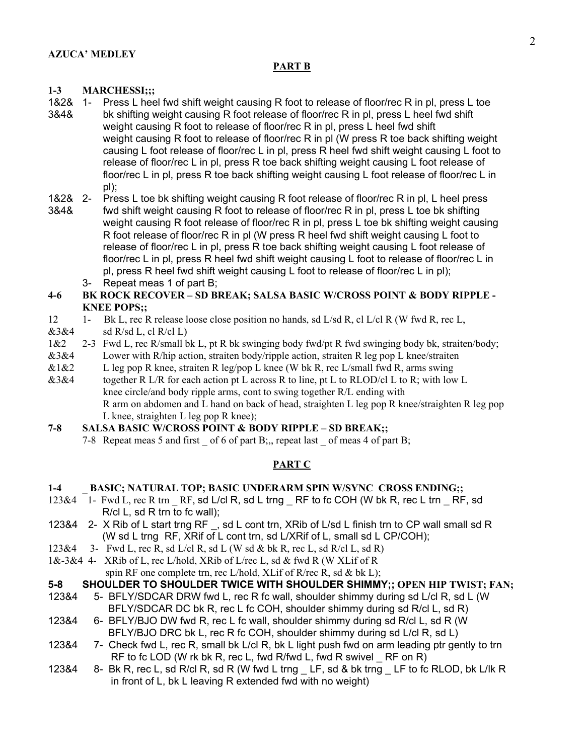#### PART B

## 1-3 MARCHESSI;;;

- 1&2& 1- Press L heel fwd shift weight causing R foot to release of floor/rec R in pl, press L toe
- 3&4& bk shifting weight causing R foot release of floor/rec R in pl, press L heel fwd shift weight causing R foot to release of floor/rec R in pl, press L heel fwd shift weight causing R foot to release of floor/rec R in pl (W press R toe back shifting weight causing L foot release of floor/rec L in pl, press R heel fwd shift weight causing L foot to release of floor/rec L in pl, press R toe back shifting weight causing L foot release of floor/rec L in pl, press R toe back shifting weight causing L foot release of floor/rec L in pl);
- 1&2& 2- Press L toe bk shifting weight causing R foot release of floor/rec R in pl, L heel press
- 3&4& fwd shift weight causing R foot to release of floor/rec R in pl, press L toe bk shifting weight causing R foot release of floor/rec R in pl, press L toe bk shifting weight causing R foot release of floor/rec R in pl (W press R heel fwd shift weight causing L foot to release of floor/rec L in pl, press R toe back shifting weight causing L foot release of floor/rec L in pl, press R heel fwd shift weight causing L foot to release of floor/rec L in pl, press R heel fwd shift weight causing L foot to release of floor/rec L in pl); 3- Repeat meas 1 of part B;

## 4-6 BK ROCK RECOVER – SD BREAK; SALSA BASIC W/CROSS POINT & BODY RIPPLE - KNEE POPS;;

- 12 1- Bk L, rec R release loose close position no hands, sd L/sd R, cl L/cl R (W fwd R, rec L,
- $&3&4$  sd R/sd L, cl R/cl L)
- 1&2 2-3 Fwd L, rec R/small bk L, pt R bk swinging body fwd/pt R fwd swinging body bk, straiten/body;
- &3&4 Lower with R/hip action, straiten body/ripple action, straiten R leg pop L knee/straiten
- $&1&2$  L leg pop R knee, straiten R leg/pop L knee (W bk R, rec L/small fwd R, arms swing
- &3&4 together R L/R for each action pt L across R to line, pt L to RLOD/cl L to R; with low L knee circle/and body ripple arms, cont to swing together R/L ending with R arm on abdomen and L hand on back of head, straighten L leg pop R knee/straighten R leg pop L knee, straighten L leg pop R knee);

# 7-8 SALSA BASIC W/CROSS POINT & BODY RIPPLE – SD BREAK;;

7-8 Repeat meas 5 and first of 6 of part B;, repeat last of meas 4 of part B;

# PART C

## 1-4 BASIC; NATURAL TOP; BASIC UNDERARM SPIN W/SYNC CROSS ENDING;;

- 123&4 1- Fwd L, rec R trn RF, sd L/cl R, sd L trng RF to fc COH (W bk R, rec L trn RF, sd R/cl L, sd R trn to fc wall);
- 123&4 2- X Rib of L start trng RF, sd L cont trn, XRib of L/sd L finish trn to CP wall small sd R (W sd L trng RF, XRif of L cont trn, sd L/XRif of L, small sd L CP/COH);
- 123&4 3- Fwd L, rec R, sd L/cl R, sd L (W sd & bk R, rec L, sd R/cl L, sd R)
- 1&-3&4 4- XRib of L, rec L/hold, XRib of L/rec L, sd & fwd R (W XLif of R

spin RF one complete trn, rec L/hold, XLif of R/rec R, sd & bk L);

# **5-8 SHOULDER TO SHOULDER TWICE WITH SHOULDER SHIMMY;;** OPEN HIP TWIST; FAN;

- 123&4 5- BFLY/SDCAR DRW fwd L, rec R fc wall, shoulder shimmy during sd L/cl R, sd L (W BFLY/SDCAR DC bk R, rec L fc COH, shoulder shimmy during sd R/cl L, sd R)
- 123&4 6- BFLY/BJO DW fwd R, rec L fc wall, shoulder shimmy during sd R/cl L, sd R (W BFLY/BJO DRC bk L, rec R fc COH, shoulder shimmy during sd L/cl R, sd L)
- 123&4 7- Check fwd L, rec R, small bk L/cl R, bk L light push fwd on arm leading ptr gently to trn RF to fc LOD (W rk bk R, rec L, fwd R/fwd L, fwd R swivel  $RF$  on R)
- 123&4 8- Bk R, rec L, sd R/cl R, sd R (W fwd L trng \_ LF, sd & bk trng \_ LF to fc RLOD, bk L/lk R in front of L, bk L leaving R extended fwd with no weight)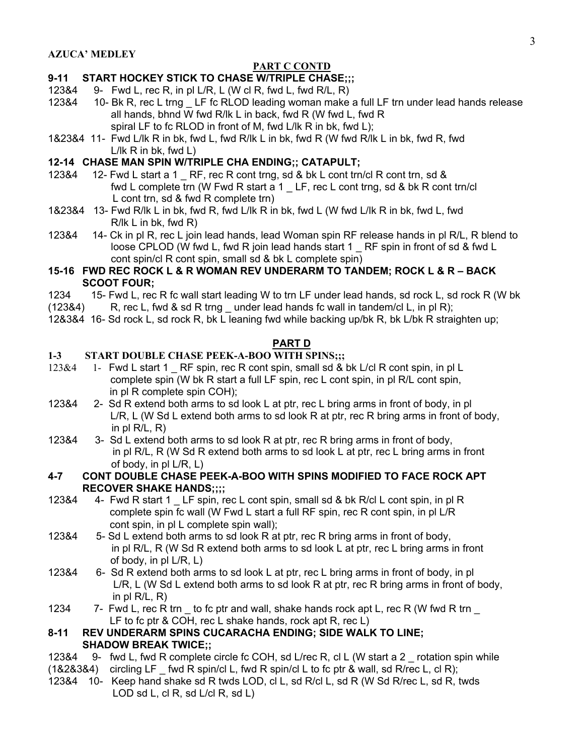# PART C CONTD

# **9-11 START HOCKEY STICK TO CHASE W/TRIPLE CHASE;;;**

- 123&4 9- Fwd L, rec R, in pl L/R, L (W cl R, fwd L, fwd R/L, R)
- 123&4 10- Bk R, rec L trng \_ LF fc RLOD leading woman make a full LF trn under lead hands release all hands, bhnd W fwd R/lk L in back, fwd R (W fwd L, fwd R spiral LF to fc RLOD in front of M, fwd L/lk R in bk, fwd L);
- 1&23&4 11- Fwd L/lk R in bk, fwd L, fwd R/lk L in bk, fwd R (W fwd R/lk L in bk, fwd R, fwd L/lk R in bk, fwd L)

# **12-14 CHASE MAN SPIN W/TRIPLE CHA ENDING;; CATAPULT;**

- 123&4 12- Fwd L start a 1 RF, rec R cont trng, sd & bk L cont trn/cl R cont trn, sd & fwd L complete trn (W Fwd R start a 1 \_ LF, rec L cont trng, sd & bk R cont trn/cl L cont trn, sd & fwd R complete trn)
- 1&23&4 13- Fwd R/lk L in bk, fwd R, fwd L/lk R in bk, fwd L (W fwd L/lk R in bk, fwd L, fwd R/lk L in bk, fwd R)
- 123&4 14- Ck in pl R, rec L join lead hands, lead Woman spin RF release hands in pl R/L, R blend to loose CPLOD (W fwd L, fwd R join lead hands start 1 RF spin in front of sd & fwd L cont spin/cl R cont spin, small sd & bk L complete spin)

# **15-16 FWD REC ROCK L & R WOMAN REV UNDERARM TO TANDEM; ROCK L & R – BACK SCOOT FOUR;**

- 1234 15- Fwd L, rec R fc wall start leading W to trn LF under lead hands, sd rock L, sd rock R (W bk
- $(12384)$  R, rec L, fwd & sd R trng under lead hands fc wall in tandem/cl L, in pl R);
- 12&3&4 16- Sd rock L, sd rock R, bk L leaning fwd while backing up/bk R, bk L/bk R straighten up;

# **PART D**

# 1-3 START DOUBLE CHASE PEEK-A-BOO WITH SPINS;;;

- 123&4 1- Fwd L start 1 RF spin, rec R cont spin, small sd & bk L/cl R cont spin, in pl L complete spin (W bk R start a full LF spin, rec L cont spin, in pl R/L cont spin, in pl R complete spin COH);
- 123&4 2- Sd R extend both arms to sd look L at ptr, rec L bring arms in front of body, in pl L/R, L (W Sd L extend both arms to sd look R at ptr, rec R bring arms in front of body, in pl  $R/L$ ,  $R$ )
- 123&4 3- Sd L extend both arms to sd look R at ptr, rec R bring arms in front of body, in pl R/L, R (W Sd R extend both arms to sd look L at ptr, rec L bring arms in front of body, in pl L/R, L)

## **4-7 CONT DOUBLE CHASE PEEK-A-BOO WITH SPINS MODIFIED TO FACE ROCK APT RECOVER SHAKE HANDS;;;;**

- 123&4 4- Fwd R start 1 LF spin, rec L cont spin, small sd & bk R/cl L cont spin, in pl R complete spin fc wall (W Fwd L start a full RF spin, rec R cont spin, in pl L/R cont spin, in pl L complete spin wall);
- 123&4 5- Sd L extend both arms to sd look R at ptr, rec R bring arms in front of body, in pl R/L, R (W Sd R extend both arms to sd look L at ptr, rec L bring arms in front of body, in pl L/R, L)
- 123&4 6- Sd R extend both arms to sd look L at ptr, rec L bring arms in front of body, in pl L/R, L (W Sd L extend both arms to sd look R at ptr, rec R bring arms in front of body, in pl R/L, R)
- 1234 7- Fwd L, rec R trn \_ to fc ptr and wall, shake hands rock apt L, rec R (W fwd R trn LF to fc ptr & COH, rec L shake hands, rock apt R, rec L)

# **8-11 REV UNDERARM SPINS CUCARACHA ENDING; SIDE WALK TO LINE; SHADOW BREAK TWICE;;**

- 123&4 9- fwd L, fwd R complete circle fc COH, sd L/rec R, cl L (W start a 2 \_ rotation spin while
- $(1828384)$  circling LF fwd R spin/cl L, fwd R spin/cl L to fc ptr & wall, sd R/rec L, cl R);
- 123&4 10- Keep hand shake sd R twds LOD, cl L, sd R/cl L, sd R (W Sd R/rec L, sd R, twds LOD sd L, cl R, sd L/cl R, sd L)